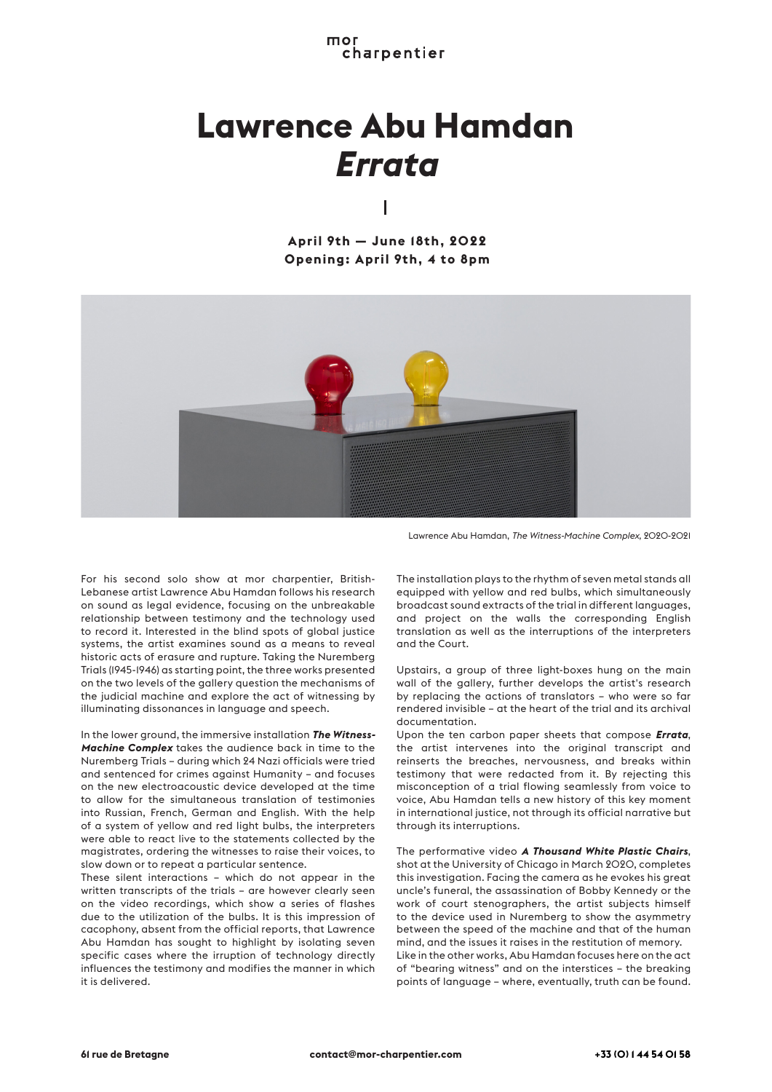mor charpentier

## **Lawrence Abu Hamdan** *Errata*

I

**April 9th — June 18th, 2022 Opening: April 9th, 4 to 8pm**



Lawrence Abu Hamdan, *The Witness-Machine Complex*, 2020-2021

For his second solo show at mor charpentier, British-Lebanese artist Lawrence Abu Hamdan follows his research on sound as legal evidence, focusing on the unbreakable relationship between testimony and the technology used to record it. Interested in the blind spots of global justice systems, the artist examines sound as a means to reveal historic acts of erasure and rupture. Taking the Nuremberg Trials (1945-1946) as starting point, the three works presented on the two levels of the gallery question the mechanisms of the judicial machine and explore the act of witnessing by illuminating dissonances in language and speech.

In the lower ground, the immersive installation *The Witness-Machine Complex* takes the audience back in time to the Nuremberg Trials – during which 24 Nazi officials were tried and sentenced for crimes against Humanity – and focuses on the new electroacoustic device developed at the time to allow for the simultaneous translation of testimonies into Russian, French, German and English. With the help of a system of yellow and red light bulbs, the interpreters were able to react live to the statements collected by the magistrates, ordering the witnesses to raise their voices, to slow down or to repeat a particular sentence.

These silent interactions – which do not appear in the written transcripts of the trials – are however clearly seen on the video recordings, which show a series of flashes due to the utilization of the bulbs. It is this impression of cacophony, absent from the official reports, that Lawrence Abu Hamdan has sought to highlight by isolating seven specific cases where the irruption of technology directly influences the testimony and modifies the manner in which it is delivered.

The installation plays to the rhythm of seven metal stands all equipped with yellow and red bulbs, which simultaneously broadcast sound extracts of the trial in different languages, and project on the walls the corresponding English translation as well as the interruptions of the interpreters and the Court.

Upstairs, a group of three light-boxes hung on the main wall of the gallery, further develops the artist's research by replacing the actions of translators – who were so far rendered invisible – at the heart of the trial and its archival documentation.

Upon the ten carbon paper sheets that compose *Errata*, the artist intervenes into the original transcript and reinserts the breaches, nervousness, and breaks within testimony that were redacted from it. By rejecting this misconception of a trial flowing seamlessly from voice to voice, Abu Hamdan tells a new history of this key moment in international justice, not through its official narrative but through its interruptions.

The performative video *A Thousand White Plastic Chairs*, shot at the University of Chicago in March 2020, completes this investigation. Facing the camera as he evokes his great uncle's funeral, the assassination of Bobby Kennedy or the work of court stenographers, the artist subjects himself to the device used in Nuremberg to show the asymmetry between the speed of the machine and that of the human mind, and the issues it raises in the restitution of memory. Like in the other works, Abu Hamdan focuses here on the act of "bearing witness" and on the interstices – the breaking points of language – where, eventually, truth can be found.